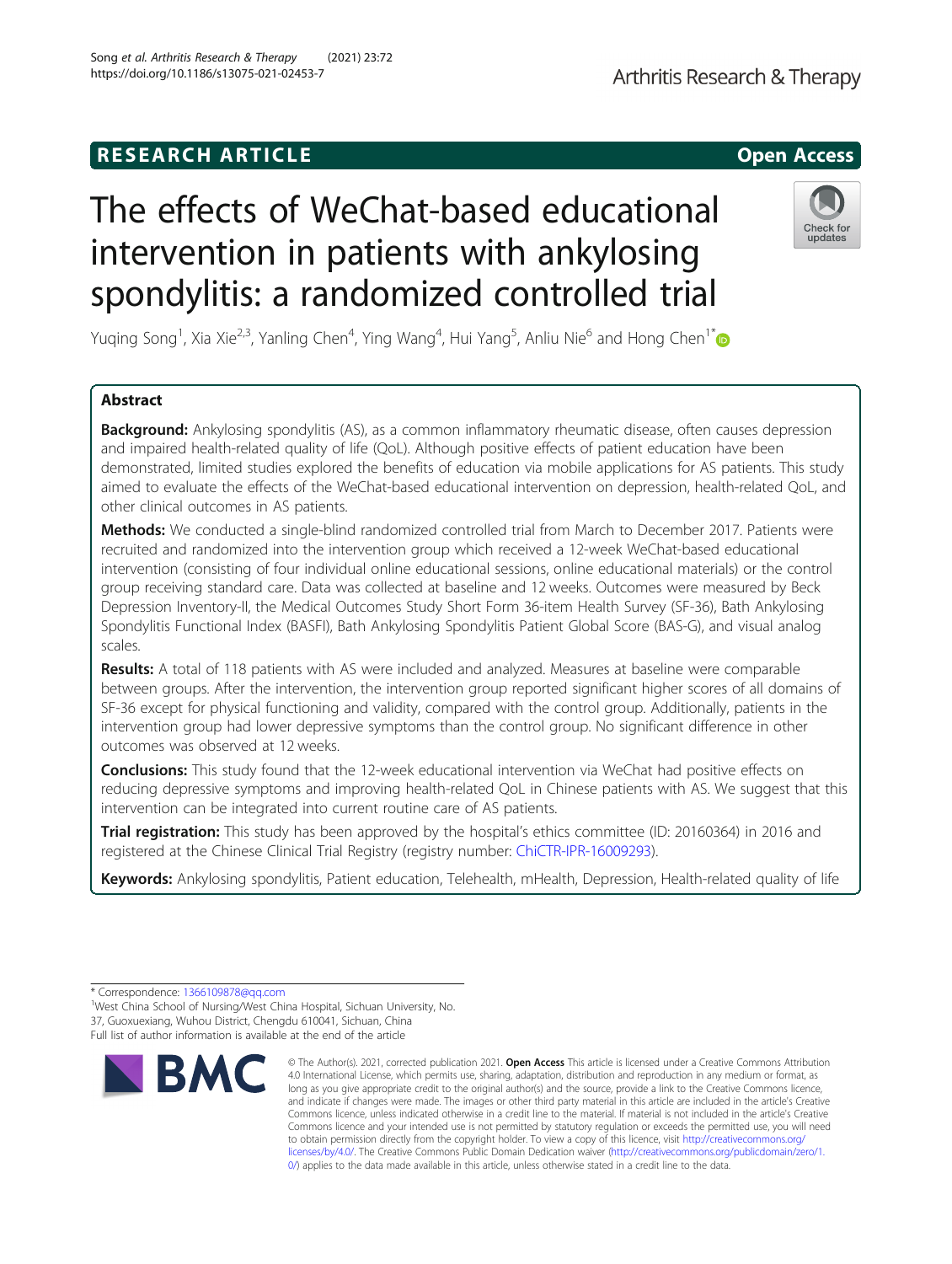# **RESEARCH ARTICLE Example 2014 12:30 The SEAR CH ACCESS**

# The effects of WeChat-based educational intervention in patients with ankylosing spondylitis: a randomized controlled trial

Yuqing Song<sup>1</sup>, Xia Xie<sup>2,3</sup>, Yanling Chen<sup>4</sup>, Ying Wang<sup>4</sup>, Hui Yang<sup>5</sup>, Anliu Nie<sup>6</sup> and Hong Chen<sup>1[\\*](http://orcid.org/0000-0002-1867-1107)</sup>

## Abstract

Background: Ankylosing spondylitis (AS), as a common inflammatory rheumatic disease, often causes depression and impaired health-related quality of life (QoL). Although positive effects of patient education have been demonstrated, limited studies explored the benefits of education via mobile applications for AS patients. This study aimed to evaluate the effects of the WeChat-based educational intervention on depression, health-related QoL, and other clinical outcomes in AS patients.

Methods: We conducted a single-blind randomized controlled trial from March to December 2017. Patients were recruited and randomized into the intervention group which received a 12-week WeChat-based educational intervention (consisting of four individual online educational sessions, online educational materials) or the control group receiving standard care. Data was collected at baseline and 12 weeks. Outcomes were measured by Beck Depression Inventory-II, the Medical Outcomes Study Short Form 36-item Health Survey (SF-36), Bath Ankylosing Spondylitis Functional Index (BASFI), Bath Ankylosing Spondylitis Patient Global Score (BAS-G), and visual analog scales.

Results: A total of 118 patients with AS were included and analyzed. Measures at baseline were comparable between groups. After the intervention, the intervention group reported significant higher scores of all domains of SF-36 except for physical functioning and validity, compared with the control group. Additionally, patients in the intervention group had lower depressive symptoms than the control group. No significant difference in other outcomes was observed at 12 weeks.

**Conclusions:** This study found that the 12-week educational intervention via WeChat had positive effects on reducing depressive symptoms and improving health-related QoL in Chinese patients with AS. We suggest that this intervention can be integrated into current routine care of AS patients.

**Trial registration:** This study has been approved by the hospital's ethics committee (ID: 20160364) in 2016 and registered at the Chinese Clinical Trial Registry (registry number: [ChiCTR-IPR-16009293\)](http://www.chictr.org.cn/showproj.aspx?proj=15759).

Keywords: Ankylosing spondylitis, Patient education, Telehealth, mHealth, Depression, Health-related quality of life



[0/\)](http://creativecommons.org/publicdomain/zero/1.0/) applies to the data made available in this article, unless otherwise stated in a credit line to the data.



<sup>\*</sup> Correspondence: [1366109878@qq.com](mailto:1366109878@qq.com) <sup>1</sup>

<sup>&</sup>lt;sup>1</sup>West China School of Nursing/West China Hospital, Sichuan University, No. 37, Guoxuexiang, Wuhou District, Chengdu 610041, Sichuan, China Full list of author information is available at the end of the article

<sup>©</sup> The Author(s). 2021, corrected publication 2021. Open Access This article is licensed under a Creative Commons Attribution 4.0 International License, which permits use, sharing, adaptation, distribution and reproduction in any medium or format, as long as you give appropriate credit to the original author(s) and the source, provide a link to the Creative Commons licence, and indicate if changes were made. The images or other third party material in this article are included in the article's Creative Commons licence, unless indicated otherwise in a credit line to the material. If material is not included in the article's Creative Commons licence and your intended use is not permitted by statutory regulation or exceeds the permitted use, you will need to obtain permission directly from the copyright holder. To view a copy of this licence, visit [http://creativecommons.org/](http://creativecommons.org/licenses/by/4.0/) [licenses/by/4.0/.](http://creativecommons.org/licenses/by/4.0/) The Creative Commons Public Domain Dedication waiver ([http://creativecommons.org/publicdomain/zero/1.](http://creativecommons.org/publicdomain/zero/1.0/)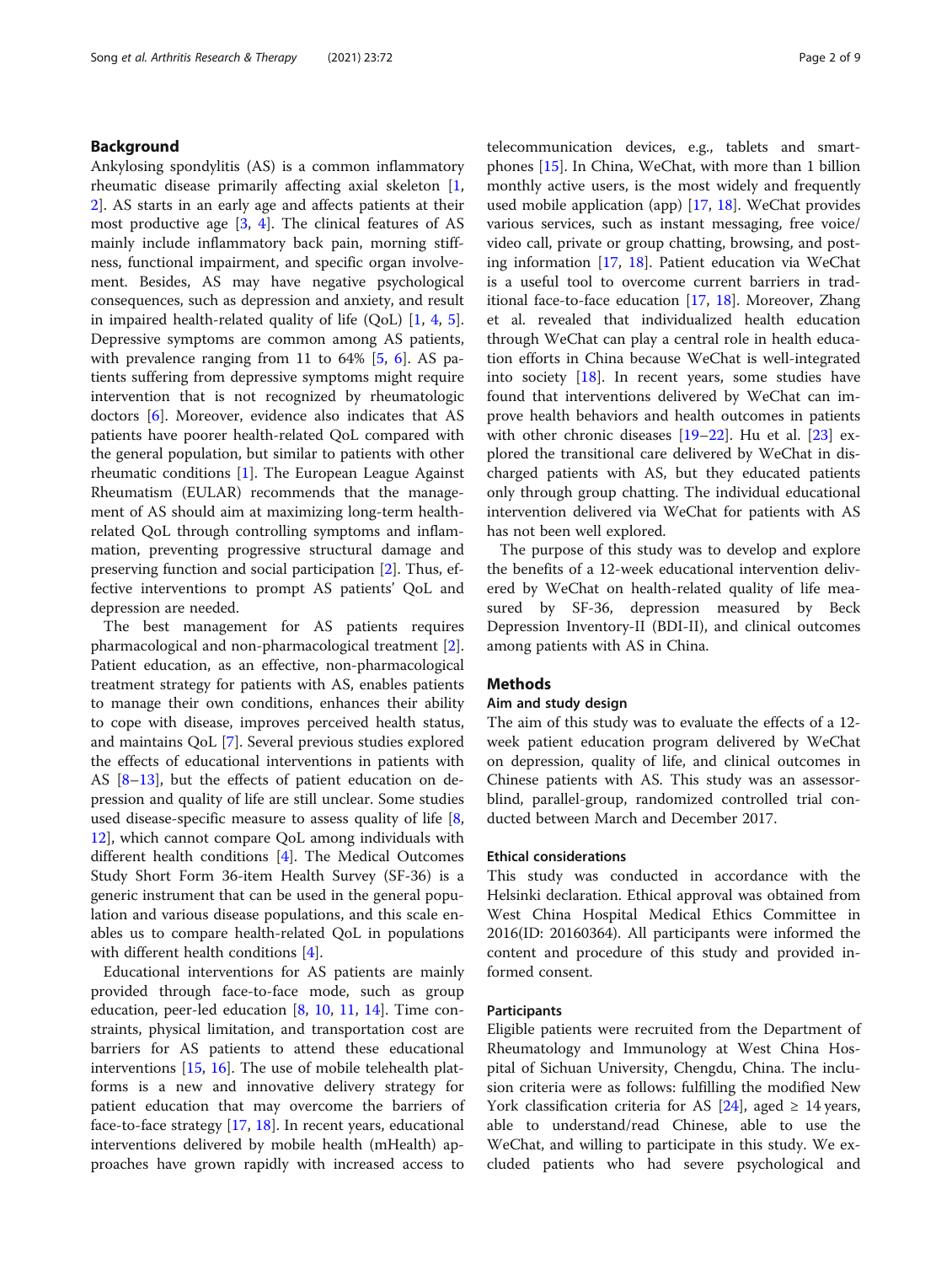#### Background

Ankylosing spondylitis (AS) is a common inflammatory rheumatic disease primarily affecting axial skeleton [\[1](#page-7-0), [2\]](#page-7-0). AS starts in an early age and affects patients at their most productive age [\[3](#page-7-0), [4\]](#page-7-0). The clinical features of AS mainly include inflammatory back pain, morning stiffness, functional impairment, and specific organ involvement. Besides, AS may have negative psychological consequences, such as depression and anxiety, and result in impaired health-related quality of life (QoL) [[1,](#page-7-0) [4,](#page-7-0) [5](#page-7-0)]. Depressive symptoms are common among AS patients, with prevalence ranging from 11 to  $64\%$  [[5,](#page-7-0) [6\]](#page-7-0). AS patients suffering from depressive symptoms might require intervention that is not recognized by rheumatologic doctors [[6\]](#page-7-0). Moreover, evidence also indicates that AS patients have poorer health-related QoL compared with the general population, but similar to patients with other rheumatic conditions [\[1](#page-7-0)]. The European League Against Rheumatism (EULAR) recommends that the management of AS should aim at maximizing long-term healthrelated QoL through controlling symptoms and inflammation, preventing progressive structural damage and preserving function and social participation [[2\]](#page-7-0). Thus, effective interventions to prompt AS patients' QoL and depression are needed.

The best management for AS patients requires pharmacological and non-pharmacological treatment [\[2](#page-7-0)]. Patient education, as an effective, non-pharmacological treatment strategy for patients with AS, enables patients to manage their own conditions, enhances their ability to cope with disease, improves perceived health status, and maintains QoL [[7\]](#page-8-0). Several previous studies explored the effects of educational interventions in patients with AS  $[8-13]$  $[8-13]$  $[8-13]$ , but the effects of patient education on depression and quality of life are still unclear. Some studies used disease-specific measure to assess quality of life [\[8](#page-8-0), [12\]](#page-8-0), which cannot compare QoL among individuals with different health conditions [[4\]](#page-7-0). The Medical Outcomes Study Short Form 36-item Health Survey (SF-36) is a generic instrument that can be used in the general population and various disease populations, and this scale enables us to compare health-related QoL in populations with different health conditions [[4\]](#page-7-0).

Educational interventions for AS patients are mainly provided through face-to-face mode, such as group education, peer-led education [\[8](#page-8-0), [10,](#page-8-0) [11](#page-8-0), [14\]](#page-8-0). Time constraints, physical limitation, and transportation cost are barriers for AS patients to attend these educational interventions [[15](#page-8-0), [16\]](#page-8-0). The use of mobile telehealth platforms is a new and innovative delivery strategy for patient education that may overcome the barriers of face-to-face strategy [[17,](#page-8-0) [18\]](#page-8-0). In recent years, educational interventions delivered by mobile health (mHealth) approaches have grown rapidly with increased access to

telecommunication devices, e.g., tablets and smartphones [\[15\]](#page-8-0). In China, WeChat, with more than 1 billion monthly active users, is the most widely and frequently used mobile application (app) [[17](#page-8-0), [18\]](#page-8-0). WeChat provides various services, such as instant messaging, free voice/ video call, private or group chatting, browsing, and posting information [\[17,](#page-8-0) [18](#page-8-0)]. Patient education via WeChat is a useful tool to overcome current barriers in traditional face-to-face education [\[17](#page-8-0), [18\]](#page-8-0). Moreover, Zhang et al. revealed that individualized health education through WeChat can play a central role in health education efforts in China because WeChat is well-integrated into society [[18](#page-8-0)]. In recent years, some studies have found that interventions delivered by WeChat can improve health behaviors and health outcomes in patients with other chronic diseases [[19](#page-8-0)–[22](#page-8-0)]. Hu et al. [[23](#page-8-0)] explored the transitional care delivered by WeChat in discharged patients with AS, but they educated patients only through group chatting. The individual educational intervention delivered via WeChat for patients with AS has not been well explored.

The purpose of this study was to develop and explore the benefits of a 12-week educational intervention delivered by WeChat on health-related quality of life measured by SF-36, depression measured by Beck Depression Inventory-II (BDI-II), and clinical outcomes among patients with AS in China.

#### **Methods**

#### Aim and study design

The aim of this study was to evaluate the effects of a 12 week patient education program delivered by WeChat on depression, quality of life, and clinical outcomes in Chinese patients with AS. This study was an assessorblind, parallel-group, randomized controlled trial conducted between March and December 2017.

#### Ethical considerations

This study was conducted in accordance with the Helsinki declaration. Ethical approval was obtained from West China Hospital Medical Ethics Committee in 2016(ID: 20160364). All participants were informed the content and procedure of this study and provided informed consent.

#### Participants

Eligible patients were recruited from the Department of Rheumatology and Immunology at West China Hospital of Sichuan University, Chengdu, China. The inclusion criteria were as follows: fulfilling the modified New York classification criteria for AS  $[24]$  $[24]$  $[24]$ , aged  $\geq 14$  years, able to understand/read Chinese, able to use the WeChat, and willing to participate in this study. We excluded patients who had severe psychological and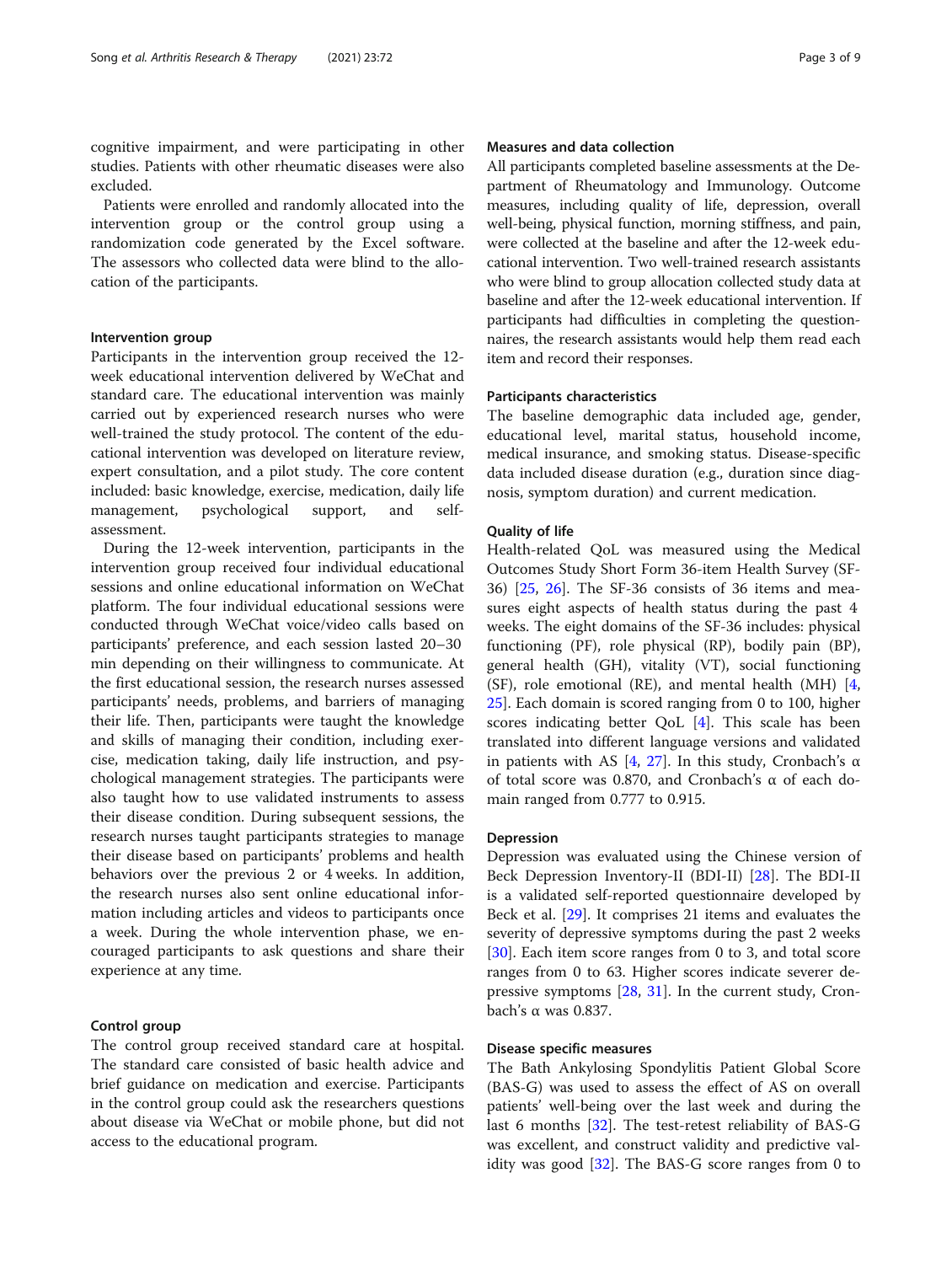cognitive impairment, and were participating in other studies. Patients with other rheumatic diseases were also excluded.

Patients were enrolled and randomly allocated into the intervention group or the control group using a randomization code generated by the Excel software. The assessors who collected data were blind to the allocation of the participants.

#### Intervention group

Participants in the intervention group received the 12 week educational intervention delivered by WeChat and standard care. The educational intervention was mainly carried out by experienced research nurses who were well-trained the study protocol. The content of the educational intervention was developed on literature review, expert consultation, and a pilot study. The core content included: basic knowledge, exercise, medication, daily life management, psychological support, and selfassessment.

During the 12-week intervention, participants in the intervention group received four individual educational sessions and online educational information on WeChat platform. The four individual educational sessions were conducted through WeChat voice/video calls based on participants' preference, and each session lasted 20–30 min depending on their willingness to communicate. At the first educational session, the research nurses assessed participants' needs, problems, and barriers of managing their life. Then, participants were taught the knowledge and skills of managing their condition, including exercise, medication taking, daily life instruction, and psychological management strategies. The participants were also taught how to use validated instruments to assess their disease condition. During subsequent sessions, the research nurses taught participants strategies to manage their disease based on participants' problems and health behaviors over the previous 2 or 4 weeks. In addition, the research nurses also sent online educational information including articles and videos to participants once a week. During the whole intervention phase, we encouraged participants to ask questions and share their experience at any time.

#### Control group

The control group received standard care at hospital. The standard care consisted of basic health advice and brief guidance on medication and exercise. Participants in the control group could ask the researchers questions about disease via WeChat or mobile phone, but did not access to the educational program.

#### Measures and data collection

All participants completed baseline assessments at the Department of Rheumatology and Immunology. Outcome measures, including quality of life, depression, overall well-being, physical function, morning stiffness, and pain, were collected at the baseline and after the 12-week educational intervention. Two well-trained research assistants who were blind to group allocation collected study data at baseline and after the 12-week educational intervention. If participants had difficulties in completing the questionnaires, the research assistants would help them read each item and record their responses.

#### Participants characteristics

The baseline demographic data included age, gender, educational level, marital status, household income, medical insurance, and smoking status. Disease-specific data included disease duration (e.g., duration since diagnosis, symptom duration) and current medication.

#### Quality of life

Health-related QoL was measured using the Medical Outcomes Study Short Form 36-item Health Survey (SF-36) [\[25](#page-8-0), [26](#page-8-0)]. The SF-36 consists of 36 items and measures eight aspects of health status during the past 4 weeks. The eight domains of the SF-36 includes: physical functioning (PF), role physical (RP), bodily pain (BP), general health (GH), vitality (VT), social functioning (SF), role emotional (RE), and mental health (MH) [\[4](#page-7-0), [25\]](#page-8-0). Each domain is scored ranging from 0 to 100, higher scores indicating better QoL [[4\]](#page-7-0). This scale has been translated into different language versions and validated in patients with AS [[4,](#page-7-0) [27\]](#page-8-0). In this study, Cronbach's α of total score was 0.870, and Cronbach's α of each domain ranged from 0.777 to 0.915.

#### Depression

Depression was evaluated using the Chinese version of Beck Depression Inventory-II (BDI-II) [\[28](#page-8-0)]. The BDI-II is a validated self-reported questionnaire developed by Beck et al. [[29](#page-8-0)]. It comprises 21 items and evaluates the severity of depressive symptoms during the past 2 weeks [[30\]](#page-8-0). Each item score ranges from 0 to 3, and total score ranges from 0 to 63. Higher scores indicate severer depressive symptoms [\[28](#page-8-0), [31\]](#page-8-0). In the current study, Cronbach's α was 0.837.

#### Disease specific measures

The Bath Ankylosing Spondylitis Patient Global Score (BAS-G) was used to assess the effect of AS on overall patients' well-being over the last week and during the last 6 months [[32](#page-8-0)]. The test-retest reliability of BAS-G was excellent, and construct validity and predictive validity was good [[32\]](#page-8-0). The BAS-G score ranges from 0 to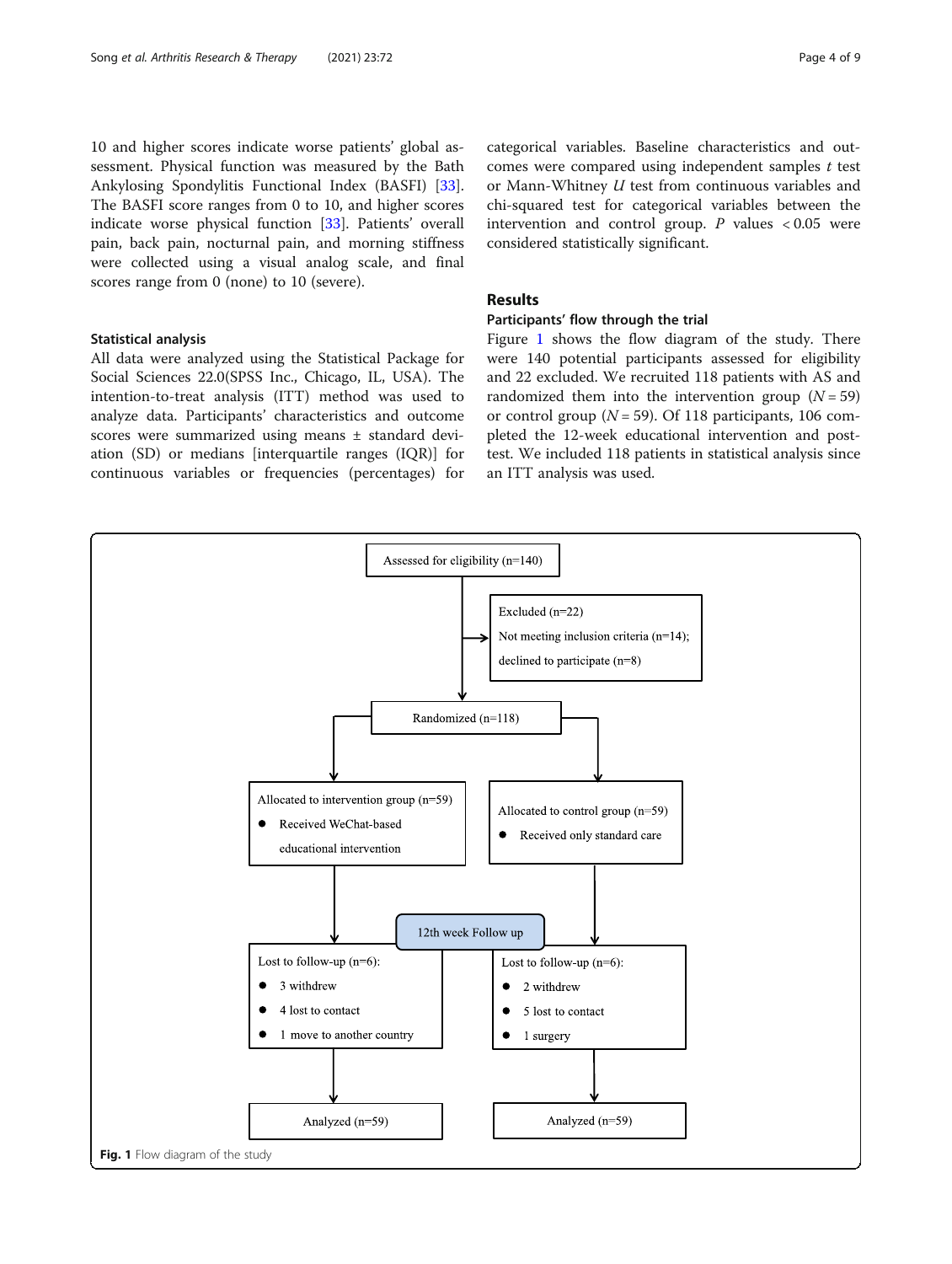10 and higher scores indicate worse patients' global assessment. Physical function was measured by the Bath Ankylosing Spondylitis Functional Index (BASFI) [\[33](#page-8-0)]. The BASFI score ranges from 0 to 10, and higher scores indicate worse physical function [\[33](#page-8-0)]. Patients' overall pain, back pain, nocturnal pain, and morning stiffness were collected using a visual analog scale, and final scores range from 0 (none) to 10 (severe).

#### Statistical analysis

All data were analyzed using the Statistical Package for Social Sciences 22.0(SPSS Inc., Chicago, IL, USA). The intention-to-treat analysis (ITT) method was used to analyze data. Participants' characteristics and outcome scores were summarized using means ± standard deviation (SD) or medians [interquartile ranges (IQR)] for continuous variables or frequencies (percentages) for categorical variables. Baseline characteristics and outcomes were compared using independent samples  $t$  test or Mann-Whitney U test from continuous variables and chi-squared test for categorical variables between the intervention and control group.  $P$  values  $<0.05$  were considered statistically significant.

### Results

#### Participants' flow through the trial

Figure 1 shows the flow diagram of the study. There were 140 potential participants assessed for eligibility and 22 excluded. We recruited 118 patients with AS and randomized them into the intervention group  $(N = 59)$ or control group ( $N = 59$ ). Of 118 participants, 106 completed the 12-week educational intervention and posttest. We included 118 patients in statistical analysis since an ITT analysis was used.

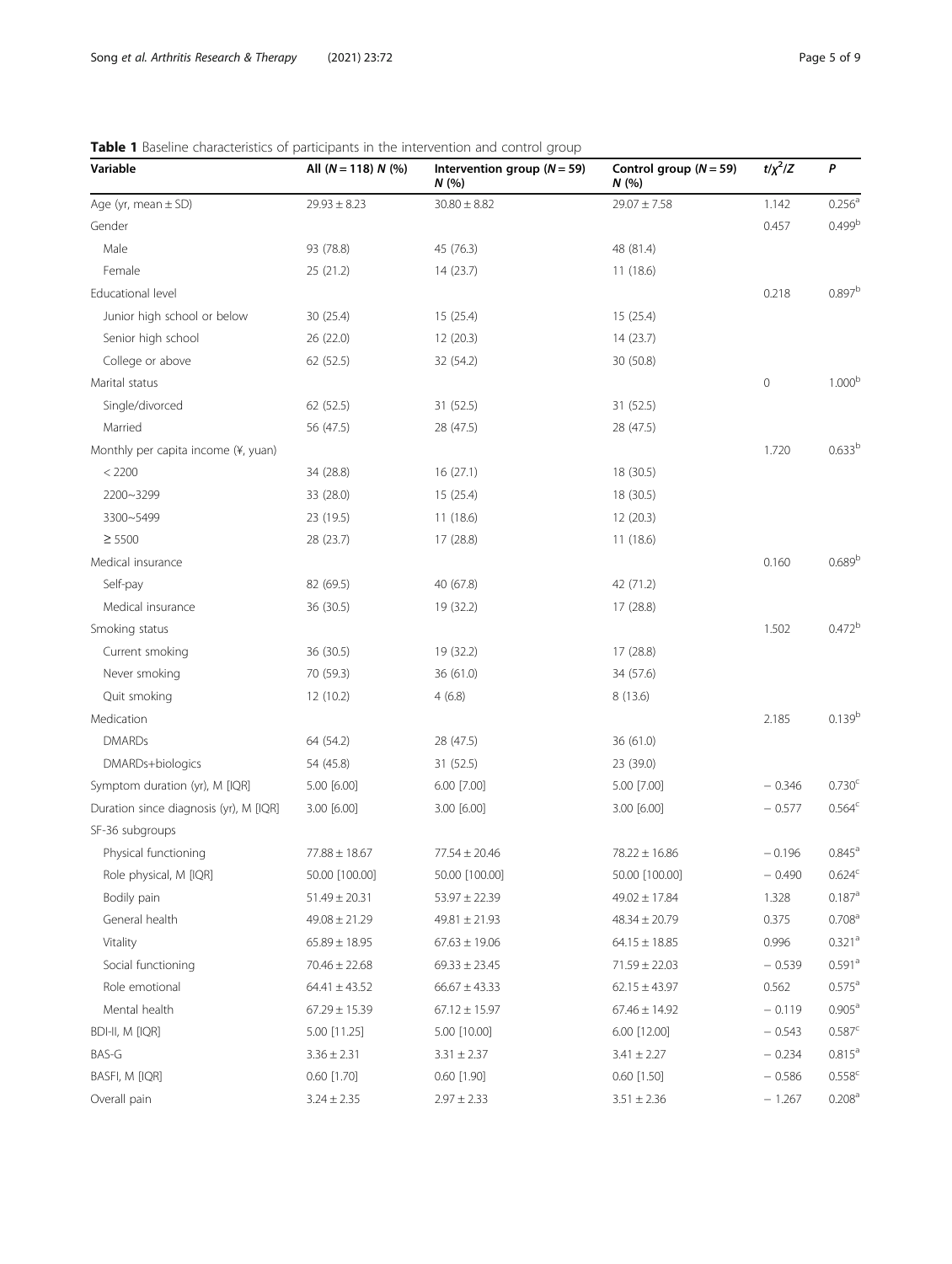| Variable                               | All $(N = 118) N$ (%) | Intervention group ( $N = 59$ )<br>N(% | Control group $(N = 59)$<br>N(%) | $t/\chi^2/Z$ | P                  |
|----------------------------------------|-----------------------|----------------------------------------|----------------------------------|--------------|--------------------|
| Age (yr, mean $\pm$ SD)                | $29.93 \pm 8.23$      | $30.80 \pm 8.82$                       | $29.07 \pm 7.58$                 | 1.142        | 0.256 <sup>a</sup> |
| Gender                                 |                       |                                        |                                  | 0.457        | 0.499 <sup>b</sup> |
| Male                                   | 93 (78.8)             | 45 (76.3)                              | 48 (81.4)                        |              |                    |
| Female                                 | 25(21.2)              | 14(23.7)                               | 11(18.6)                         |              |                    |
| Educational level                      |                       |                                        |                                  | 0.218        | $0.897^{b}$        |
| Junior high school or below            | 30(25.4)              | 15(25.4)                               | 15 (25.4)                        |              |                    |
| Senior high school                     | 26 (22.0)             | 12 (20.3)                              | 14 (23.7)                        |              |                    |
| College or above                       | 62 (52.5)             | 32 (54.2)                              | 30 (50.8)                        |              |                    |
| Marital status                         |                       |                                        |                                  | $\mathbf 0$  | 1.000 <sup>b</sup> |
| Single/divorced                        | 62 (52.5)             | 31 (52.5)                              | 31 (52.5)                        |              |                    |
| Married                                | 56 (47.5)             | 28 (47.5)                              | 28 (47.5)                        |              |                    |
| Monthly per capita income (¥, yuan)    |                       |                                        |                                  | 1.720        | 0.633 <sup>b</sup> |
| < 2200                                 | 34 (28.8)             | 16(27.1)                               | 18 (30.5)                        |              |                    |
| 2200~3299                              | 33 (28.0)             | 15(25.4)                               | 18 (30.5)                        |              |                    |
| 3300~5499                              | 23 (19.5)             | 11(18.6)                               | 12 (20.3)                        |              |                    |
| $\geq$ 5500                            | 28 (23.7)             | 17 (28.8)                              | 11 (18.6)                        |              |                    |
| Medical insurance                      |                       |                                        |                                  | 0.160        | 0.689 <sup>b</sup> |
| Self-pay                               | 82 (69.5)             | 40 (67.8)                              | 42 (71.2)                        |              |                    |
| Medical insurance                      | 36 (30.5)             | 19 (32.2)                              | 17 (28.8)                        |              |                    |
| Smoking status                         |                       |                                        |                                  | 1.502        | 0.472 <sup>b</sup> |
| Current smoking                        | 36 (30.5)             | 19 (32.2)                              | 17 (28.8)                        |              |                    |
| Never smoking                          | 70 (59.3)             | 36 (61.0)                              | 34 (57.6)                        |              |                    |
| Quit smoking                           | 12 (10.2)             | 4(6.8)                                 | 8(13.6)                          |              |                    |
| Medication                             |                       |                                        |                                  | 2.185        | 0.139 <sup>b</sup> |
| <b>DMARDs</b>                          | 64 (54.2)             | 28 (47.5)                              | 36 (61.0)                        |              |                    |
| DMARDs+biologics                       | 54 (45.8)             | 31 (52.5)                              | 23 (39.0)                        |              |                    |
| Symptom duration (yr), M [IQR]         | 5.00 [6.00]           | 6.00 [7.00]                            | 5.00 [7.00]                      | $-0.346$     | 0.730 <sup>c</sup> |
| Duration since diagnosis (yr), M [IQR] | 3.00 [6.00]           | 3.00 [6.00]                            | 3.00 [6.00]                      | $-0.577$     | $0.564^c$          |
| SF-36 subgroups                        |                       |                                        |                                  |              |                    |
| Physical functioning                   | $77.88 \pm 18.67$     | $77.54 \pm 20.46$                      | $78.22 \pm 16.86$                | $-0.196$     | $0.845^{\circ}$    |
| Role physical, M [IQR]                 | 50.00 [100.00]        | 50.00 [100.00]                         | 50.00 [100.00]                   | $-0.490$     | 0.624 <sup>c</sup> |
| Bodily pain                            | $51.49 \pm 20.31$     | $53.97 \pm 22.39$                      | $49.02 \pm 17.84$                | 1.328        | $0.187^{a}$        |
| General health                         | $49.08 \pm 21.29$     | $49.81 \pm 21.93$                      | $48.34 \pm 20.79$                | 0.375        | 0.708 <sup>a</sup> |
| Vitality                               | $65.89 \pm 18.95$     | $67.63 \pm 19.06$                      | $64.15 \pm 18.85$                | 0.996        | 0.321 <sup>a</sup> |
| Social functioning                     | $70.46 \pm 22.68$     | $69.33 \pm 23.45$                      | $71.59 \pm 22.03$                | $-0.539$     | 0.591 <sup>a</sup> |
| Role emotional                         | $64.41 \pm 43.52$     | $66.67 \pm 43.33$                      | $62.15 \pm 43.97$                | 0.562        | $0.575^{\rm a}$    |
| Mental health                          | $67.29 \pm 15.39$     | $67.12 \pm 15.97$                      | $67.46 \pm 14.92$                | $-0.119$     | $0.905^{\text{a}}$ |
| BDI-II, M [IQR]                        | 5.00 [11.25]          | 5.00 [10.00]                           | 6.00 [12.00]                     | $-0.543$     | 0.587c             |
| BAS-G                                  | $3.36 \pm 2.31$       | $3.31 \pm 2.37$                        | $3.41 \pm 2.27$                  | $-0.234$     | $0.815^a$          |
| BASFI, M [IQR]                         | $0.60$ [1.70]         | $0.60$ [1.90]                          | $0.60$ [1.50]                    | $-0.586$     | $0.558^{c}$        |
| Overall pain                           | $3.24 \pm 2.35$       | $2.97 \pm 2.33$                        | $3.51 \pm 2.36$                  | $-1.267$     | 0.208 <sup>a</sup> |

#### <span id="page-4-0"></span>Table 1 Baseline characteristics of participants in the intervention and control group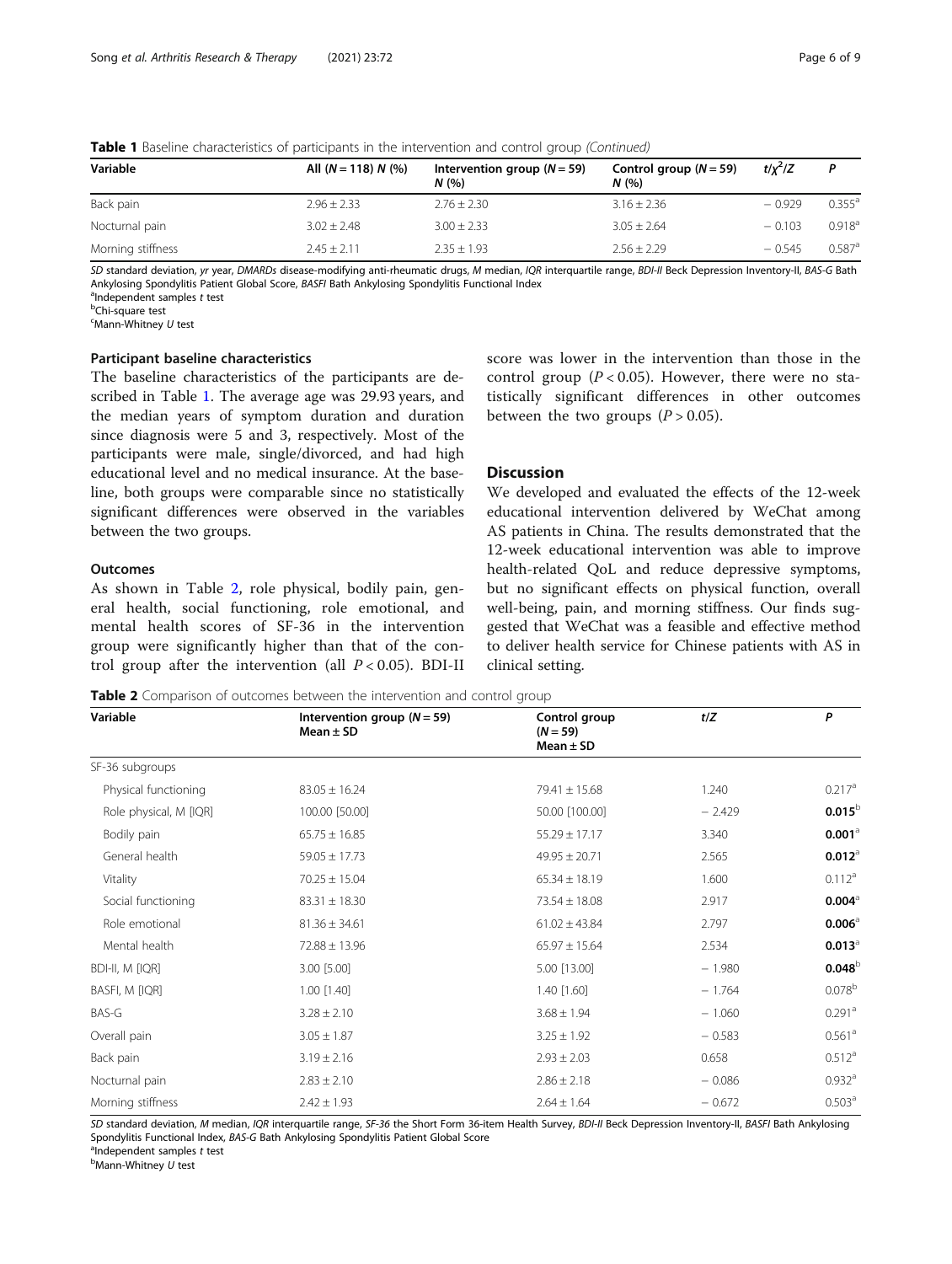| All $(N = 118) N$ (%) | Intervention group ( $N = 59$ )<br>N(96) | Control group $(N = 59)$<br>N(% | $t/x^2/Z$ | P                    |
|-----------------------|------------------------------------------|---------------------------------|-----------|----------------------|
| $2.96 \pm 2.33$       | $2.76 \pm 2.30$                          | $3.16 \pm 2.36$                 | $-0.929$  | $0.355^{\circ}$      |
| $3.02 + 2.48$         | $3.00 \pm 2.33$                          | $3.05 \pm 2.64$                 | $-0.103$  | 0.918 <sup>a</sup>   |
| $2.45 + 2.11$         | $2.35 \pm 1.93$                          | $2.56 \pm 2.29$                 | $-0.545$  | $0.587$ <sup>a</sup> |
|                       |                                          |                                 |           |                      |

**Table 1** Baseline characteristics of participants in the intervention and control group (Continued)

SD standard deviation, yr year, DMARDs disease-modifying anti-rheumatic drugs, M median, IQR interquartile range, BDI-II Beck Depression Inventory-II, BAS-G Bath Ankylosing Spondylitis Patient Global Score, BASFI Bath Ankylosing Spondylitis Functional Index <sup>a</sup>

 $a$ Independent samples  $t$  test

Chi-square test

 $\epsilon$ Mann-Whitney  $U$  test

#### Participant baseline characteristics

The baseline characteristics of the participants are described in Table [1.](#page-4-0) The average age was 29.93 years, and the median years of symptom duration and duration since diagnosis were 5 and 3, respectively. Most of the participants were male, single/divorced, and had high educational level and no medical insurance. At the baseline, both groups were comparable since no statistically significant differences were observed in the variables between the two groups.

#### **Outcomes**

As shown in Table 2, role physical, bodily pain, general health, social functioning, role emotional, and mental health scores of SF-36 in the intervention group were significantly higher than that of the control group after the intervention (all  $P < 0.05$ ). BDI-II score was lower in the intervention than those in the control group  $(P < 0.05)$ . However, there were no statistically significant differences in other outcomes between the two groups  $(P > 0.05)$ .

#### **Discussion**

We developed and evaluated the effects of the 12-week educational intervention delivered by WeChat among AS patients in China. The results demonstrated that the 12-week educational intervention was able to improve health-related QoL and reduce depressive symptoms, but no significant effects on physical function, overall well-being, pain, and morning stiffness. Our finds suggested that WeChat was a feasible and effective method to deliver health service for Chinese patients with AS in clinical setting.

Table 2 Comparison of outcomes between the intervention and control group

| Variable               | Intervention group ( $N = 59$ )<br>Mean $\pm$ SD | Control group<br>$(N = 59)$<br>Mean $\pm$ SD | t/Z      | P                    |
|------------------------|--------------------------------------------------|----------------------------------------------|----------|----------------------|
| SF-36 subgroups        |                                                  |                                              |          |                      |
| Physical functioning   | $83.05 \pm 16.24$                                | $79.41 \pm 15.68$                            | 1.240    | $0.217$ <sup>a</sup> |
| Role physical, M [IQR] | 100.00 [50.00]                                   | 50.00 [100.00]                               | $-2.429$ | $0.015^b$            |
| Bodily pain            | $65.75 \pm 16.85$                                | $55.29 \pm 17.17$                            | 3.340    | $0.001$ <sup>a</sup> |
| General health         | $59.05 \pm 17.73$                                | $49.95 \pm 20.71$                            | 2.565    | $0.012$ <sup>a</sup> |
| Vitality               | $70.25 \pm 15.04$                                | $65.34 \pm 18.19$                            | 1.600    | $0.112^a$            |
| Social functioning     | $83.31 \pm 18.30$                                | $73.54 \pm 18.08$                            | 2.917    | $0.004^{\circ}$      |
| Role emotional         | $81.36 \pm 34.61$                                | $61.02 \pm 43.84$                            | 2.797    | $0.006$ <sup>a</sup> |
| Mental health          | $72.88 \pm 13.96$                                | $65.97 \pm 15.64$                            | 2.534    | $0.013^{\circ}$      |
| BDI-II, M [IQR]        | $3.00$ [5.00]                                    | 5.00 [13.00]                                 | $-1.980$ | $0.048^\circ$        |
| BASFI, M [IQR]         | $1.00$ [1.40]                                    | 1.40 [1.60]                                  | $-1.764$ | 0.078 <sup>b</sup>   |
| BAS-G                  | $3.28 \pm 2.10$                                  | $3.68 \pm 1.94$                              | $-1.060$ | $0.291$ <sup>a</sup> |
| Overall pain           | $3.05 \pm 1.87$                                  | $3.25 \pm 1.92$                              | $-0.583$ | 0.561 <sup>a</sup>   |
| Back pain              | $3.19 \pm 2.16$                                  | $2.93 \pm 2.03$                              | 0.658    | 0.512 <sup>a</sup>   |
| Nocturnal pain         | $2.83 \pm 2.10$                                  | $2.86 \pm 2.18$                              | $-0.086$ | $0.932$ <sup>a</sup> |
| Morning stiffness      | $2.42 \pm 1.93$                                  | $2.64 \pm 1.64$                              | $-0.672$ | 0.503 <sup>a</sup>   |

SD standard deviation, M median, IQR interquartile range, SF-36 the Short Form 36-item Health Survey, BDI-II Beck Depression Inventory-II, BASFI Bath Ankylosing Spondylitis Functional Index, BAS-G Bath Ankylosing Spondylitis Patient Global Score  $a$ <sup>a</sup>Independent samples  $t$  test

 $<sup>b</sup>$ Mann-Whitney U test</sup>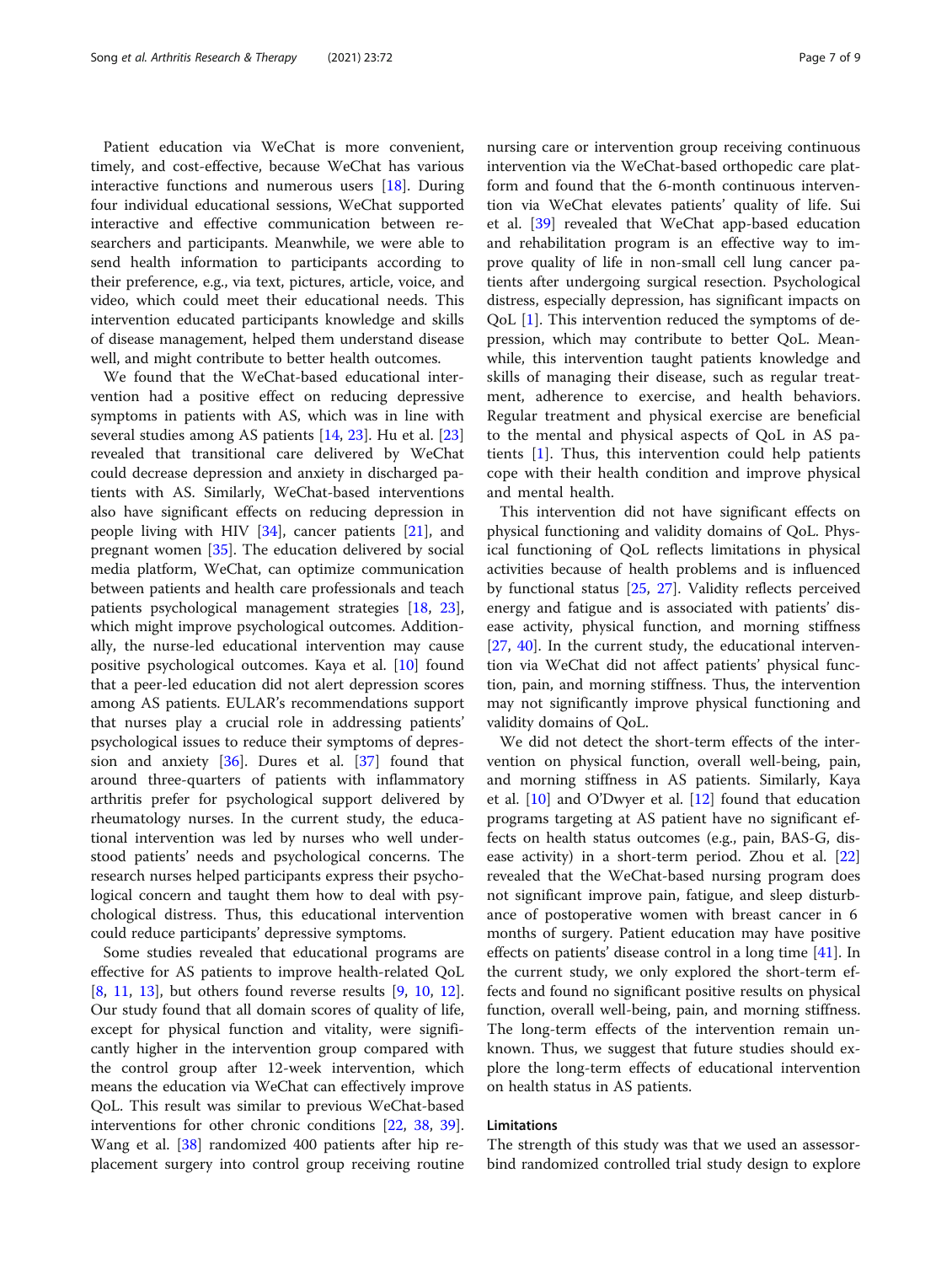Patient education via WeChat is more convenient, timely, and cost-effective, because WeChat has various interactive functions and numerous users [[18\]](#page-8-0). During four individual educational sessions, WeChat supported interactive and effective communication between researchers and participants. Meanwhile, we were able to send health information to participants according to their preference, e.g., via text, pictures, article, voice, and video, which could meet their educational needs. This intervention educated participants knowledge and skills of disease management, helped them understand disease well, and might contribute to better health outcomes.

We found that the WeChat-based educational intervention had a positive effect on reducing depressive symptoms in patients with AS, which was in line with several studies among AS patients [[14,](#page-8-0) [23\]](#page-8-0). Hu et al. [[23](#page-8-0)] revealed that transitional care delivered by WeChat could decrease depression and anxiety in discharged patients with AS. Similarly, WeChat-based interventions also have significant effects on reducing depression in people living with HIV [[34\]](#page-8-0), cancer patients [[21](#page-8-0)], and pregnant women [[35\]](#page-8-0). The education delivered by social media platform, WeChat, can optimize communication between patients and health care professionals and teach patients psychological management strategies [\[18,](#page-8-0) [23](#page-8-0)], which might improve psychological outcomes. Additionally, the nurse-led educational intervention may cause positive psychological outcomes. Kaya et al. [\[10](#page-8-0)] found that a peer-led education did not alert depression scores among AS patients. EULAR's recommendations support that nurses play a crucial role in addressing patients' psychological issues to reduce their symptoms of depression and anxiety  $[36]$ . Dures et al.  $[37]$  $[37]$  found that around three-quarters of patients with inflammatory arthritis prefer for psychological support delivered by rheumatology nurses. In the current study, the educational intervention was led by nurses who well understood patients' needs and psychological concerns. The research nurses helped participants express their psychological concern and taught them how to deal with psychological distress. Thus, this educational intervention could reduce participants' depressive symptoms.

Some studies revealed that educational programs are effective for AS patients to improve health-related QoL [[8,](#page-8-0) [11,](#page-8-0) [13\]](#page-8-0), but others found reverse results [\[9](#page-8-0), [10](#page-8-0), [12](#page-8-0)]. Our study found that all domain scores of quality of life, except for physical function and vitality, were significantly higher in the intervention group compared with the control group after 12-week intervention, which means the education via WeChat can effectively improve QoL. This result was similar to previous WeChat-based interventions for other chronic conditions [[22](#page-8-0), [38,](#page-8-0) [39](#page-8-0)]. Wang et al. [[38](#page-8-0)] randomized 400 patients after hip replacement surgery into control group receiving routine nursing care or intervention group receiving continuous intervention via the WeChat-based orthopedic care platform and found that the 6-month continuous intervention via WeChat elevates patients' quality of life. Sui et al. [[39\]](#page-8-0) revealed that WeChat app-based education and rehabilitation program is an effective way to improve quality of life in non-small cell lung cancer patients after undergoing surgical resection. Psychological distress, especially depression, has significant impacts on QoL [\[1](#page-7-0)]. This intervention reduced the symptoms of depression, which may contribute to better QoL. Meanwhile, this intervention taught patients knowledge and skills of managing their disease, such as regular treatment, adherence to exercise, and health behaviors. Regular treatment and physical exercise are beneficial

and mental health. This intervention did not have significant effects on physical functioning and validity domains of QoL. Physical functioning of QoL reflects limitations in physical activities because of health problems and is influenced by functional status [[25,](#page-8-0) [27\]](#page-8-0). Validity reflects perceived energy and fatigue and is associated with patients' disease activity, physical function, and morning stiffness [[27,](#page-8-0) [40\]](#page-8-0). In the current study, the educational intervention via WeChat did not affect patients' physical function, pain, and morning stiffness. Thus, the intervention may not significantly improve physical functioning and validity domains of QoL.

to the mental and physical aspects of QoL in AS patients [[1\]](#page-7-0). Thus, this intervention could help patients cope with their health condition and improve physical

We did not detect the short-term effects of the intervention on physical function, overall well-being, pain, and morning stiffness in AS patients. Similarly, Kaya et al.  $[10]$  $[10]$  and O'Dwyer et al.  $[12]$  $[12]$  found that education programs targeting at AS patient have no significant effects on health status outcomes (e.g., pain, BAS-G, disease activity) in a short-term period. Zhou et al. [[22](#page-8-0)] revealed that the WeChat-based nursing program does not significant improve pain, fatigue, and sleep disturbance of postoperative women with breast cancer in 6 months of surgery. Patient education may have positive effects on patients' disease control in a long time [[41\]](#page-8-0). In the current study, we only explored the short-term effects and found no significant positive results on physical function, overall well-being, pain, and morning stiffness. The long-term effects of the intervention remain unknown. Thus, we suggest that future studies should explore the long-term effects of educational intervention on health status in AS patients.

#### Limitations

The strength of this study was that we used an assessorbind randomized controlled trial study design to explore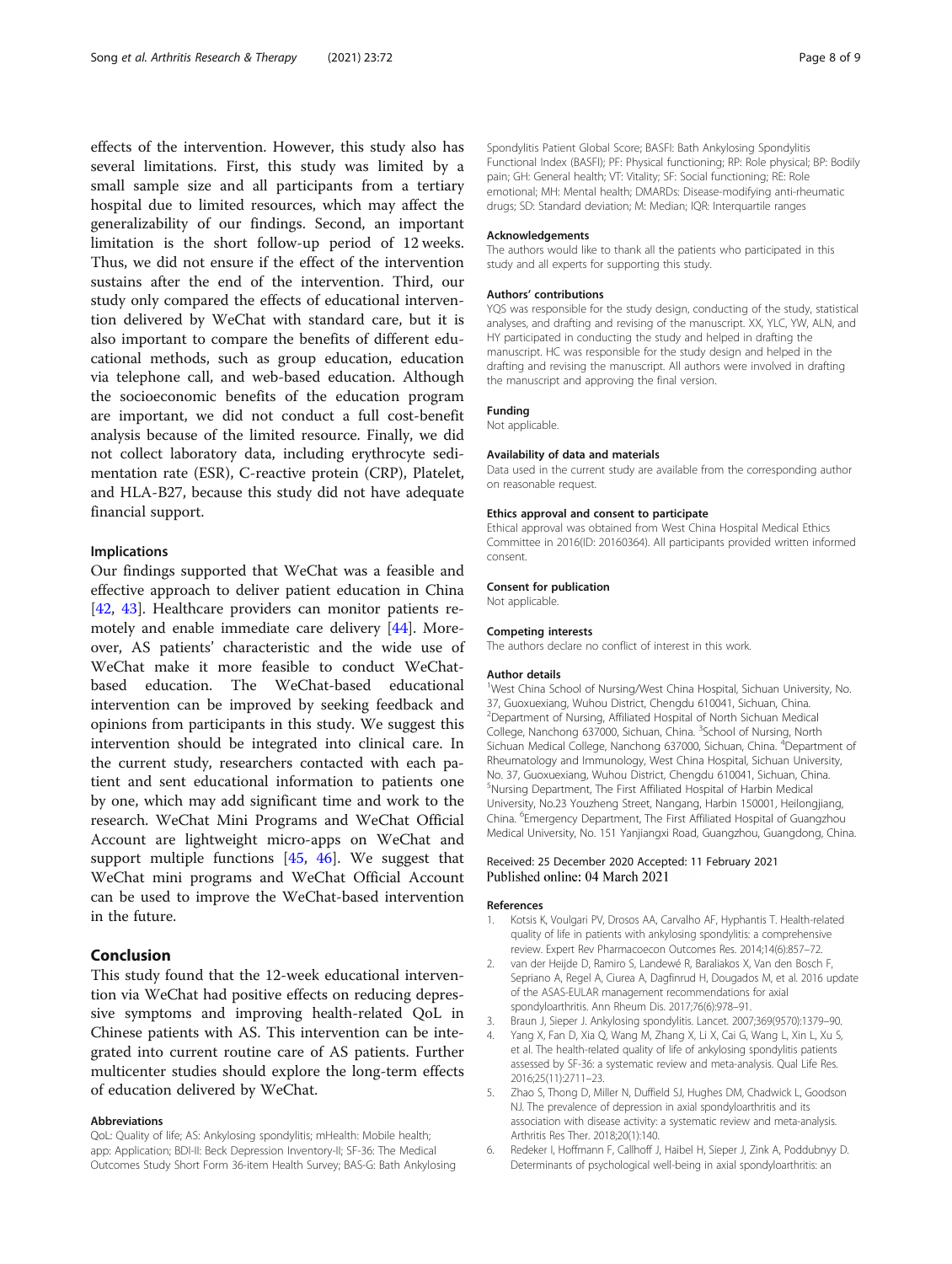<span id="page-7-0"></span>effects of the intervention. However, this study also has several limitations. First, this study was limited by a small sample size and all participants from a tertiary hospital due to limited resources, which may affect the generalizability of our findings. Second, an important limitation is the short follow-up period of 12 weeks. Thus, we did not ensure if the effect of the intervention sustains after the end of the intervention. Third, our study only compared the effects of educational intervention delivered by WeChat with standard care, but it is also important to compare the benefits of different educational methods, such as group education, education via telephone call, and web-based education. Although the socioeconomic benefits of the education program are important, we did not conduct a full cost-benefit analysis because of the limited resource. Finally, we did not collect laboratory data, including erythrocyte sedimentation rate (ESR), C-reactive protein (CRP), Platelet, and HLA-B27, because this study did not have adequate financial support.

#### Implications

Our findings supported that WeChat was a feasible and effective approach to deliver patient education in China [[42,](#page-8-0) [43\]](#page-8-0). Healthcare providers can monitor patients remotely and enable immediate care delivery [\[44](#page-8-0)]. Moreover, AS patients' characteristic and the wide use of WeChat make it more feasible to conduct WeChatbased education. The WeChat-based educational intervention can be improved by seeking feedback and opinions from participants in this study. We suggest this intervention should be integrated into clinical care. In the current study, researchers contacted with each patient and sent educational information to patients one by one, which may add significant time and work to the research. WeChat Mini Programs and WeChat Official Account are lightweight micro-apps on WeChat and support multiple functions [\[45](#page-8-0), [46\]](#page-8-0). We suggest that WeChat mini programs and WeChat Official Account can be used to improve the WeChat-based intervention in the future.

#### Conclusion

This study found that the 12-week educational intervention via WeChat had positive effects on reducing depressive symptoms and improving health-related QoL in Chinese patients with AS. This intervention can be integrated into current routine care of AS patients. Further multicenter studies should explore the long-term effects of education delivered by WeChat.

#### Abbreviations

QoL: Quality of life; AS: Ankylosing spondylitis; mHealth: Mobile health; app: Application; BDI-II: Beck Depression Inventory-II; SF-36: The Medical Outcomes Study Short Form 36-item Health Survey; BAS-G: Bath Ankylosing

Spondylitis Patient Global Score; BASFI: Bath Ankylosing Spondylitis Functional Index (BASFI); PF: Physical functioning; RP: Role physical; BP: Bodily pain; GH: General health; VT: Vitality; SF: Social functioning; RE: Role emotional; MH: Mental health; DMARDs: Disease-modifying anti-rheumatic drugs; SD: Standard deviation; M: Median; IQR: Interquartile ranges

#### Acknowledgements

The authors would like to thank all the patients who participated in this study and all experts for supporting this study.

#### Authors' contributions

YQS was responsible for the study design, conducting of the study, statistical analyses, and drafting and revising of the manuscript. XX, YLC, YW, ALN, and HY participated in conducting the study and helped in drafting the manuscript. HC was responsible for the study design and helped in the drafting and revising the manuscript. All authors were involved in drafting the manuscript and approving the final version.

#### Funding

Not applicable.

#### Availability of data and materials

Data used in the current study are available from the corresponding author on reasonable request.

#### Ethics approval and consent to participate

Ethical approval was obtained from West China Hospital Medical Ethics Committee in 2016(ID: 20160364). All participants provided written informed consent.

#### Consent for publication

Not applicable.

#### Competing interests

The authors declare no conflict of interest in this work.

#### Author details

<sup>1</sup>West China School of Nursing/West China Hospital, Sichuan University, No. 37, Guoxuexiang, Wuhou District, Chengdu 610041, Sichuan, China. 2 Department of Nursing, Affiliated Hospital of North Sichuan Medical College, Nanchong 637000, Sichuan, China. <sup>3</sup>School of Nursing, North Sichuan Medical College, Nanchong 637000, Sichuan, China. <sup>4</sup>Department of Rheumatology and Immunology, West China Hospital, Sichuan University, No. 37, Guoxuexiang, Wuhou District, Chengdu 610041, Sichuan, China. 5 Nursing Department, The First Affiliated Hospital of Harbin Medical University, No.23 Youzheng Street, Nangang, Harbin 150001, Heilongjiang, China. <sup>6</sup> Emergency Department, The First Affiliated Hospital of Guangzhou Medical University, No. 151 Yanjiangxi Road, Guangzhou, Guangdong, China.

#### Received: 25 December 2020 Accepted: 11 February 2021 Published online: 04 March 2021

#### References

- 1. Kotsis K, Voulgari PV, Drosos AA, Carvalho AF, Hyphantis T. Health-related quality of life in patients with ankylosing spondylitis: a comprehensive review. Expert Rev Pharmacoecon Outcomes Res. 2014;14(6):857–72.
- 2. van der Heijde D, Ramiro S, Landewé R, Baraliakos X, Van den Bosch F, Sepriano A, Regel A, Ciurea A, Dagfinrud H, Dougados M, et al. 2016 update of the ASAS-EULAR management recommendations for axial spondyloarthritis. Ann Rheum Dis. 2017;76(6):978–91.
- 3. Braun J, Sieper J. Ankylosing spondylitis. Lancet. 2007;369(9570):1379–90.
- Yang X, Fan D, Xia Q, Wang M, Zhang X, Li X, Cai G, Wang L, Xin L, Xu S, et al. The health-related quality of life of ankylosing spondylitis patients assessed by SF-36: a systematic review and meta-analysis. Qual Life Res. 2016;25(11):2711–23.
- 5. Zhao S, Thong D, Miller N, Duffield SJ, Hughes DM, Chadwick L, Goodson NJ. The prevalence of depression in axial spondyloarthritis and its association with disease activity: a systematic review and meta-analysis. Arthritis Res Ther. 2018;20(1):140.
- 6. Redeker I, Hoffmann F, Callhoff J, Haibel H, Sieper J, Zink A, Poddubnyy D. Determinants of psychological well-being in axial spondyloarthritis: an